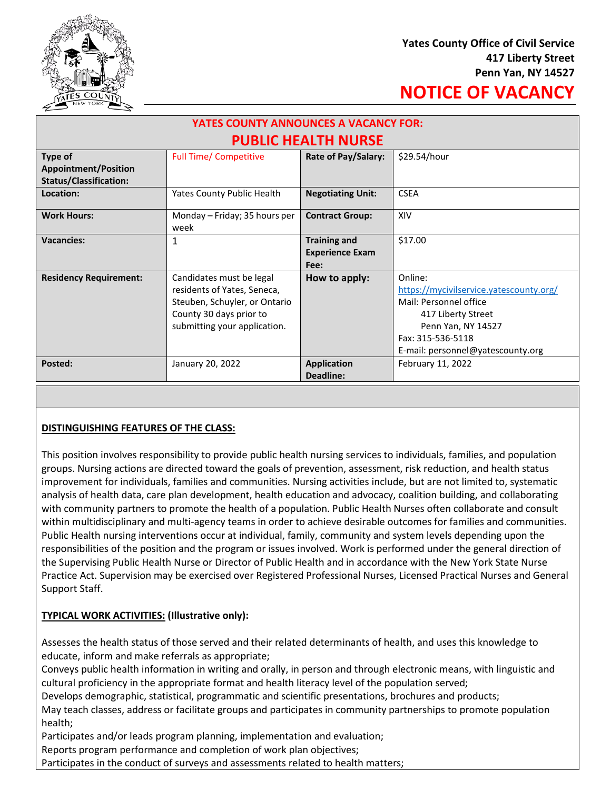

# **NOTICE OF VACANCY**

| <b>YATES COUNTY ANNOUNCES A VACANCY FOR:</b> |                                                                                                                                                     |                                 |                                                                                                                                                                                    |
|----------------------------------------------|-----------------------------------------------------------------------------------------------------------------------------------------------------|---------------------------------|------------------------------------------------------------------------------------------------------------------------------------------------------------------------------------|
| <b>PUBLIC HEALTH NURSE</b>                   |                                                                                                                                                     |                                 |                                                                                                                                                                                    |
| Type of<br><b>Appointment/Position</b>       | <b>Full Time/ Competitive</b>                                                                                                                       | Rate of Pay/Salary:             | \$29.54/hour                                                                                                                                                                       |
| <b>Status/Classification:</b>                |                                                                                                                                                     |                                 |                                                                                                                                                                                    |
| Location:                                    | Yates County Public Health                                                                                                                          | <b>Negotiating Unit:</b>        | <b>CSEA</b>                                                                                                                                                                        |
| <b>Work Hours:</b>                           | Monday – Friday; 35 hours per<br>week                                                                                                               | <b>Contract Group:</b>          | XIV                                                                                                                                                                                |
| <b>Vacancies:</b>                            | 1                                                                                                                                                   | <b>Training and</b>             | \$17.00                                                                                                                                                                            |
|                                              |                                                                                                                                                     | <b>Experience Exam</b><br>Fee:  |                                                                                                                                                                                    |
| <b>Residency Requirement:</b>                | Candidates must be legal<br>residents of Yates, Seneca,<br>Steuben, Schuyler, or Ontario<br>County 30 days prior to<br>submitting your application. | How to apply:                   | Online:<br>https://mycivilservice.yatescounty.org/<br>Mail: Personnel office<br>417 Liberty Street<br>Penn Yan, NY 14527<br>Fax: 315-536-5118<br>E-mail: personnel@yatescounty.org |
| Posted:                                      | January 20, 2022                                                                                                                                    | <b>Application</b><br>Deadline: | February 11, 2022                                                                                                                                                                  |

## **DISTINGUISHING FEATURES OF THE CLASS:**

This position involves responsibility to provide public health nursing services to individuals, families, and population groups. Nursing actions are directed toward the goals of prevention, assessment, risk reduction, and health status improvement for individuals, families and communities. Nursing activities include, but are not limited to, systematic analysis of health data, care plan development, health education and advocacy, coalition building, and collaborating with community partners to promote the health of a population. Public Health Nurses often collaborate and consult within multidisciplinary and multi-agency teams in order to achieve desirable outcomes for families and communities. Public Health nursing interventions occur at individual, family, community and system levels depending upon the responsibilities of the position and the program or issues involved. Work is performed under the general direction of the Supervising Public Health Nurse or Director of Public Health and in accordance with the New York State Nurse Practice Act. Supervision may be exercised over Registered Professional Nurses, Licensed Practical Nurses and General Support Staff.

## **TYPICAL WORK ACTIVITIES: (Illustrative only):**

Assesses the health status of those served and their related determinants of health, and uses this knowledge to educate, inform and make referrals as appropriate;

Conveys public health information in writing and orally, in person and through electronic means, with linguistic and cultural proficiency in the appropriate format and health literacy level of the population served;

Develops demographic, statistical, programmatic and scientific presentations, brochures and products;

May teach classes, address or facilitate groups and participates in community partnerships to promote population health;

Participates and/or leads program planning, implementation and evaluation;

Reports program performance and completion of work plan objectives;

Participates in the conduct of surveys and assessments related to health matters;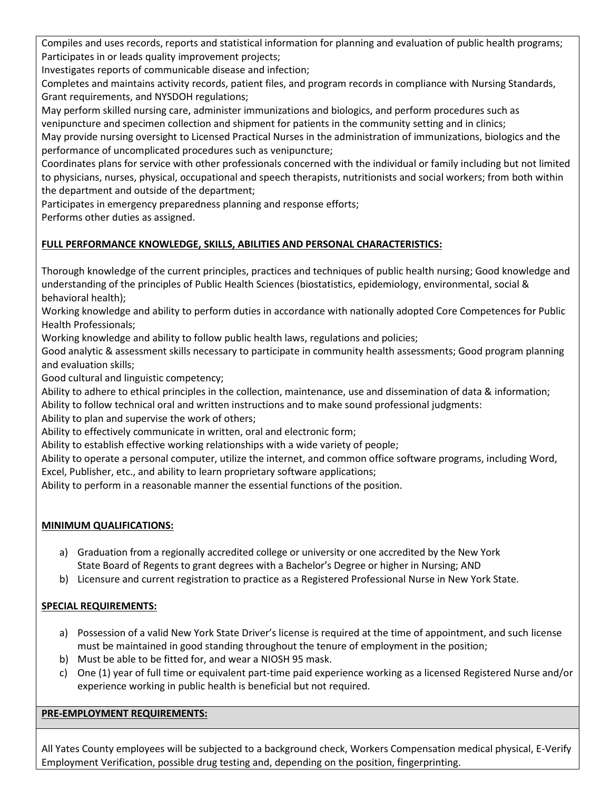Compiles and uses records, reports and statistical information for planning and evaluation of public health programs; Participates in or leads quality improvement projects;

Investigates reports of communicable disease and infection;

Completes and maintains activity records, patient files, and program records in compliance with Nursing Standards, Grant requirements, and NYSDOH regulations;

May perform skilled nursing care, administer immunizations and biologics, and perform procedures such as venipuncture and specimen collection and shipment for patients in the community setting and in clinics;

May provide nursing oversight to Licensed Practical Nurses in the administration of immunizations, biologics and the performance of uncomplicated procedures such as venipuncture;

Coordinates plans for service with other professionals concerned with the individual or family including but not limited to physicians, nurses, physical, occupational and speech therapists, nutritionists and social workers; from both within the department and outside of the department;

Participates in emergency preparedness planning and response efforts;

Performs other duties as assigned.

# **FULL PERFORMANCE KNOWLEDGE, SKILLS, ABILITIES AND PERSONAL CHARACTERISTICS:**

Thorough knowledge of the current principles, practices and techniques of public health nursing; Good knowledge and understanding of the principles of Public Health Sciences (biostatistics, epidemiology, environmental, social & behavioral health);

Working knowledge and ability to perform duties in accordance with nationally adopted Core Competences for Public Health Professionals;

Working knowledge and ability to follow public health laws, regulations and policies;

Good analytic & assessment skills necessary to participate in community health assessments; Good program planning and evaluation skills;

Good cultural and linguistic competency;

Ability to adhere to ethical principles in the collection, maintenance, use and dissemination of data & information;

Ability to follow technical oral and written instructions and to make sound professional judgments:

Ability to plan and supervise the work of others;

Ability to effectively communicate in written, oral and electronic form;

Ability to establish effective working relationships with a wide variety of people;

Ability to operate a personal computer, utilize the internet, and common office software programs, including Word, Excel, Publisher, etc., and ability to learn proprietary software applications;

Ability to perform in a reasonable manner the essential functions of the position.

## **MINIMUM QUALIFICATIONS:**

- a) Graduation from a regionally accredited college or university or one accredited by the New York State Board of Regents to grant degrees with a Bachelor's Degree or higher in Nursing; AND
- b) Licensure and current registration to practice as a Registered Professional Nurse in New York State.

## **SPECIAL REQUIREMENTS:**

- a) Possession of a valid New York State Driver's license is required at the time of appointment, and such license must be maintained in good standing throughout the tenure of employment in the position;
- b) Must be able to be fitted for, and wear a NIOSH 95 mask.
- c) One (1) year of full time or equivalent part-time paid experience working as a licensed Registered Nurse and/or experience working in public health is beneficial but not required.

## **PRE-EMPLOYMENT REQUIREMENTS:**

All Yates County employees will be subjected to a background check, Workers Compensation medical physical, E-Verify Employment Verification, possible drug testing and, depending on the position, fingerprinting.